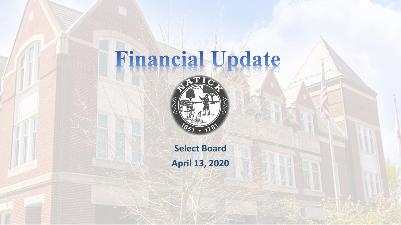# Financial Update



**Select Board April 13, 2020**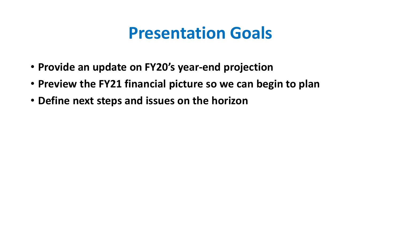### **Presentation Goals**

- **Provide an update on FY20's year-end projection**
- **Preview the FY21 financial picture so we can begin to plan**
- **Define next steps and issues on the horizon**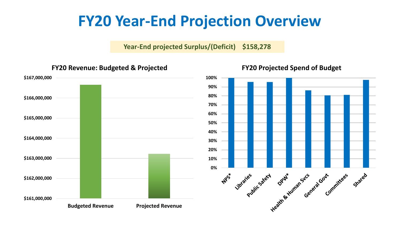#### **FY20 Year-End Projection Overview**

**Year-End projected Surplus/(Deficit) \$158,278**

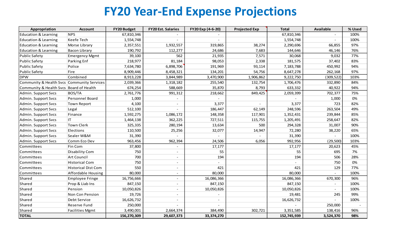#### **FY20 Year-End Expense Projections**

| Appropriation                              | <b>Account</b>             | <b>FY20 Budget</b> | <b>FY20 Est. Salaries</b> | FY20 Exp (4-6-20)        | <b>Projected Exp</b> | <b>Total</b> | <b>Available</b> | % Used |
|--------------------------------------------|----------------------------|--------------------|---------------------------|--------------------------|----------------------|--------------|------------------|--------|
| <b>Education &amp; Learning</b>            | <b>NPS</b>                 | 67,810,346         |                           |                          |                      | 67,810,346   |                  | 100%   |
| <b>Education &amp; Learning</b>            | <b>Keefe Tech</b>          | 1,554,748          |                           | $\overline{\phantom{a}}$ |                      | 1,554,748    |                  | 100%   |
| <b>Education &amp; Learning</b>            | Morse Library              | 2,357,551          | 1,932,557                 | 319,865                  | 38,274               | 2,290,696    | 66,855           | 97%    |
| <b>Education &amp; Learning</b>            | <b>Bacon Library</b>       | 190,792            | 112,277                   | 24,686                   | 7,683                | 144,646      | 46,146           | 76%    |
| <b>Public Safety</b>                       | <b>Emergency Mgmt</b>      | 39,100             | 562                       | 21,935                   | 7,571                | 30,068       | 9,032            | 77%    |
| <b>Public Safety</b>                       | Parking Enf                | 218,977            | 81,184                    | 98,053                   | 2,338                | 181,575      | 37,402           | 83%    |
| <b>Public Safety</b>                       | Police                     | 7,634,780          | 6,898,706                 | 191,969                  | 93,114               | 7,183,788    | 450,992          | 94%    |
| <b>Public Safety</b>                       | Fire                       | 8,909,446          | 8,458,321                 | 134,201                  | 54,756               | 8,647,278    | 262,168          | 97%    |
| <b>DPW</b>                                 | Combined                   | 8,913,228          | 3,844,989                 | 3,470,900                | 1,906,862            | 9,222,750    | (309, 522)       | 103%   |
| Community & Health Svcs Community Services |                            | 2,039,366          | 1,318,182                 | 255,540                  | 132,754              | 1,706,476    | 332,890          | 84%    |
| Community & Health Svcs Board of Health    |                            | 674,254            | 588,669                   | 35,870                   | 8,793                | 633,332      | 40,922           | 94%    |
| Admin. Support Svcs                        | <b>BOS/TA</b>              | 2,761,776          | 991,312                   | 218,662                  | 849,425              | 2,059,399    | 702,377          | 75%    |
| Admin. Support Svcs                        | <b>Personnel Board</b>     | 1,000              |                           |                          |                      |              | 1,000            | 0%     |
| Admin. Support Svcs                        | <b>Town Report</b>         | 4,100              |                           | 3,377                    |                      | 3,377        | 723              | 82%    |
| Admin. Support Svcs                        | Legal                      | 512,100            |                           | 186,447                  | 62,149               | 248,596      | 263,504          | 49%    |
| Admin. Support Svcs                        | Finance                    | 1,592,275          | 1,086,172                 | 148,358                  | 117,901              | 1,352,431    | 239,844          | 85%    |
| Admin. Support Svcs                        | IT.                        | 1,464,138          | 362,225                   | 727,511                  | 115,755              | 1,205,491    | 258,647          | 82%    |
| Admin. Support Svcs                        | Town Clerk                 | 325,335            | 280,194                   | 13,634                   | 500                  | 294,328      | 31,007           | 90%    |
| Admin. Support Svcs                        | Elections                  | 110,500            | 25,256                    | 32,077                   | 14,947               | 72,280       | 38,220           | 65%    |
| Admin. Support Svcs                        | Sealer W&M                 | 31,390             |                           |                          |                      | 31,390       |                  | 100%   |
| Admin. Support Svcs                        | Comm Eco Dev               | 963,456            | 962,394                   | 24,506                   | 6,056                | 992,956      | (29, 500)        | 103%   |
| Committees                                 | Fin Com                    | 37,800             |                           | 17,177                   |                      | 17,177       | 20,623           | 45%    |
| Committees                                 | <b>Disability Com</b>      | 750                | $\overline{\phantom{a}}$  | 55                       |                      | 55           | 695              | 7%     |
| Committees                                 | Art Council                | 700                | $\overline{\phantom{a}}$  | 194                      |                      | 194          | 506              | 28%    |
| Committees                                 | <b>Historical Com</b>      | 750                | $\overline{\phantom{a}}$  |                          |                      |              | 750              | 0%     |
| Committees                                 | <b>Historical Dist Com</b> | 550                | $\overline{\phantom{a}}$  | 421                      |                      | 421          | 129              | 77%    |
| Committees                                 | Affordable Housing         | 80,000             | $\overline{\phantom{a}}$  | 80,000                   |                      | 80,000       |                  | 100%   |
| Shared                                     | Employee Fringe            | 16,756,666         | $\sim$                    | 16,086,366               |                      | 16,086,366   | 670,300          | 96%    |
| Shared                                     | Prop & Liab Ins            | 847,150            |                           | 847,150                  |                      | 847,150      |                  | 100%   |
| Shared                                     | Pension                    | 10,050,826         |                           | 10,050,826               |                      | 10,050,826   |                  | 100%   |
| Shared                                     | Non Con Pension            | 19,726             | $\overline{\phantom{a}}$  |                          |                      | 19,481       | 245              | 99%    |
| Shared                                     | Debt Service               | 16,626,732         | $\overline{\phantom{0}}$  |                          |                      | 16,626,732   |                  | 100%   |
| Shared                                     | <b>Reserve Fund</b>        | 250,000            |                           |                          |                      |              | 250,000          |        |
| Shared                                     | <b>Facilities Mgmt</b>     | 3,490,001          | 2,664,374                 | 384,490                  | 302,721              | 3,351,585    | 138,416          | 96%    |
| <b>TOTAL</b>                               |                            | 156,270,309        | 29,607,373                | 33,374,270               |                      | 152,745,939  | 3,524,370        | 98%    |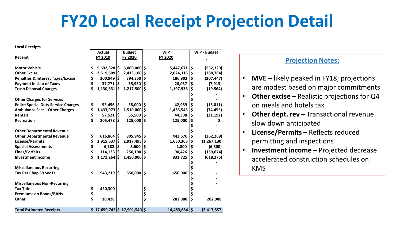## **FY20 Local Receipt Projection Detail**

| <b>Local Receipts</b>                      |          |                        |     |                                       |    |                  |    |                     |  |
|--------------------------------------------|----------|------------------------|-----|---------------------------------------|----|------------------|----|---------------------|--|
|                                            |          | <b>Actual</b>          |     | <b>Budget</b>                         |    | <b>WIP</b>       |    | <b>WIP - Budget</b> |  |
| Receipt                                    |          | FY 2019                |     | FY 2020                               |    | FY 2020          |    |                     |  |
| Motor Vehicle                              | \$       | $5,692,328$ \$         |     | $6,000,000$ \$                        |    | $5,447,671$   \$ |    | (552, 329)          |  |
| <b>Other Excise</b>                        | \$       | $2,519,609$ \$         |     | $2,413,100$ \$                        |    | 2,024,316        | \$ | (388, 784)          |  |
| Penalties & Interest Taxes/Excise          | \$       | 300,949 \$             |     | 394,350 \$                            |    | 186,903          | \$ | (207, 447)          |  |
| Payment in Lieu of Taxes                   | \$       | $37,771$ $\frac{1}{5}$ |     | $35,950$ $\frac{1}{5}$                |    | 28,037           | \$ | (7, 913)            |  |
| <b>Trash Disposal Charges</b>              | \$       | $1,130,631$ \$         |     | $1,217,500$ \$                        |    | 1,197,936        | \$ | (19, 564)           |  |
| <b>Other Charges for Services</b>          |          |                        |     |                                       |    |                  |    |                     |  |
| <b>Police Special Duty Service Charges</b> | \$       | $53,456$ \$            |     | 58,000 \$                             |    | 42,989           | \$ | (15, 011)           |  |
| <b>Ambulance Fees - Other Charges</b>      | \$       | $1,433,973$ \$         |     | 1,510,000 \$                          |    | 1,435,545        | \$ | (74, 455)           |  |
| <b>Rentals</b>                             |          |                        |     |                                       |    |                  |    |                     |  |
|                                            | \$<br>\$ | $57,521$ $\frac{1}{5}$ |     | $65,500$  \$                          |    | 44,308           | \$ | (21, 192)           |  |
| Recreation                                 |          | $205,478$ \$           |     | $125,000$  \$                         |    | 125,000          | \$ | ი                   |  |
| <b>Other Departmental Revenue</b>          |          |                        |     |                                       |    |                  |    |                     |  |
| <b>Other Departmental Revenue</b>          | \$       | $616,864$ \$           |     | $805,945$ \$                          |    | 443,676          | \$ | (362, 269)          |  |
| License/Permits                            | \$       | $2,915,637$ \$         |     | 2,917,495   \$                        |    | 1,650,365        | \$ | (1, 267, 130)       |  |
| <b>Special Assessments</b>                 | \$       | 6,182                  | I\$ | $8,600$  \$                           |    | 1,800            | \$ | (6,800)             |  |
| Fines/Forfeits                             | \$       | 114,133                | l\$ | $250,100$  \$                         |    | 90,426           | \$ | (159, 674)          |  |
| Investment Income                          | \$       | $1,171,264$ \$         |     | $1,450,000$ \$                        |    | 831,725          | \$ | (618, 275)          |  |
|                                            |          |                        |     |                                       |    |                  |    |                     |  |
| <b>Miscellaneous Recurring</b>             |          |                        |     |                                       |    |                  |    |                     |  |
| Tax Per Chap 59 Sec D                      | \$       | $943,219$ \$           |     | 650,000 \$                            |    | 650,000          | \$ |                     |  |
|                                            |          |                        |     |                                       |    |                  | \$ |                     |  |
| Miscellaneous Non-Recurring                |          |                        |     |                                       |    |                  |    |                     |  |
| Tax Title                                  | \$       | 450,300                |     |                                       | \$ |                  | \$ |                     |  |
| <b>Premiums on Bonds/BANs</b>              | \$       |                        |     |                                       | \$ |                  | \$ |                     |  |
| Other                                      | \$       | 10,428                 |     |                                       | \$ | 282,988          | \$ | 282,988             |  |
| <b>Total Estimated Receipts</b>            |          |                        |     | $$17,659,742 \mid $17,901,540 \mid $$ |    | 14,483,684 \$    |    | (3, 417, 857)       |  |

#### **Projection Notes:**

- **MVE** likely peaked in FY18; projections are modest based on major commitments
- **Other excise**  Realistic projections for Q4 on meals and hotels tax
- **Other dept. rev** Transactional revenue slow down anticipated
- **License/Permits** Reflects reduced permitting and inspections
- **Investment income**  Projected decrease accelerated construction schedules on KMS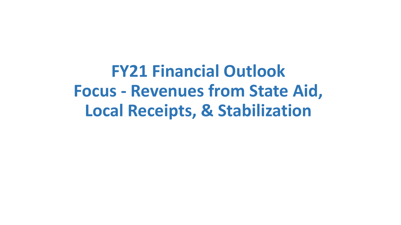**FY21 Financial Outlook Focus - Revenues from State Aid, Local Receipts, & Stabilization**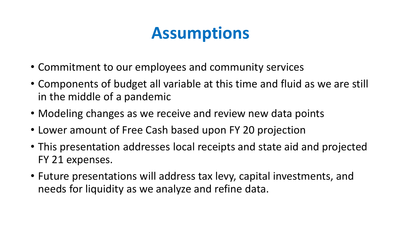## **Assumptions**

- Commitment to our employees and community services
- Components of budget all variable at this time and fluid as we are still in the middle of a pandemic
- Modeling changes as we receive and review new data points
- Lower amount of Free Cash based upon FY 20 projection
- This presentation addresses local receipts and state aid and projected FY 21 expenses.
- Future presentations will address tax levy, capital investments, and needs for liquidity as we analyze and refine data.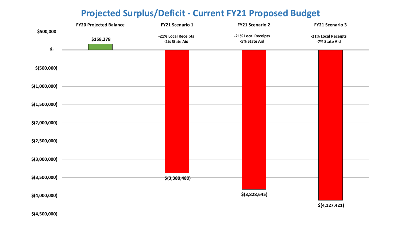#### **Projected Surplus/Deficit - Current FY21 Proposed Budget**

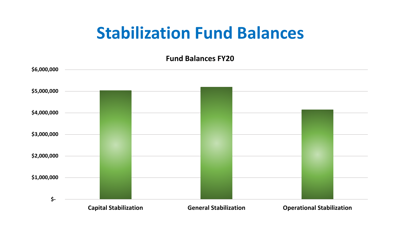### **Stabilization Fund Balances**

**Fund Balances FY20**

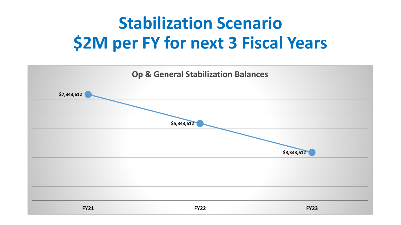# **Stabilization Scenario \$2M per FY for next 3 Fiscal Years**

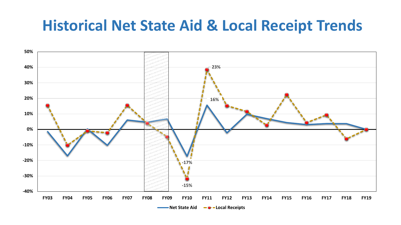#### **Historical Net State Aid & Local Receipt Trends**

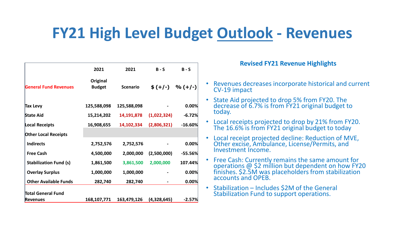#### **FY21 High Level Budget Outlook - Revenues**

|                               | 2021                      | 2021            | $B - S$     | $B - S$             |
|-------------------------------|---------------------------|-----------------|-------------|---------------------|
| <b>General Fund Revenues</b>  | Original<br><b>Budget</b> | <b>Scenario</b> |             | $$ (+/-)$ % $(+/-)$ |
| Tax Levy                      | 125,588,098               | 125,588,098     |             | 0.00%               |
| <b>State Aid</b>              | 15,214,202                | 14,191,878      | (1,022,324) | $-6.72%$            |
| Local Receipts                | 16,908,655                | 14,102,334      | (2,806,321) | $-16.60%$           |
| <b>Other Local Receipts</b>   |                           |                 |             |                     |
| <b>Indirects</b>              | 2,752,576                 | 2,752,576       |             | 0.00%               |
| <b>Free Cash</b>              | 4,500,000                 | 2,000,000       | (2,500,000) | $-55.56%$           |
| <b>Stabilization Fund (s)</b> | 1,861,500                 | 3,861,500       | 2,000,000   | 107.44%             |
| <b>Overlay Surplus</b>        | 1,000,000                 | 1,000,000       |             | 0.00%               |
| <b>Other Available Funds</b>  | 282,740                   | 282,740         |             | 0.00%               |
| <b>Total General Fund</b>     |                           |                 |             |                     |
| <b>Revenues</b>               | 168,107,771               | 163,479,126     | (4,328,645) | $-2.57%$            |

**Revised FY21 Revenue Highlights**

- Revenues decreases incorporate historical and current CV-19 impact
- State Aid projected to drop 5% from FY20. The decrease of 6.7% is from FY21 original budget to today.
- Local receipts projected to drop by 21% from FY20. The 16.6% is from FY21 original budget to today
- Local receipt projected decline: Reduction of MVE, Other excise, Ambulance, License/Permits, and Investment Income.
- Free Cash: Currently remains the same amount for operations @ \$2 million but dependent on how FY20 finishes. \$2.5M was placeholders from stabilization accounts and OPEB.
- Stabilization Includes \$2M of the General Stabilization Fund to support operations.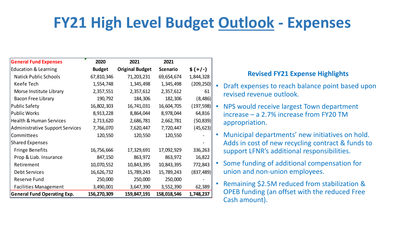#### **FY21 High Level Budget Outlook - Expenses**

| <b>General Fund Expenses</b>           | 2020          | 2021                   | 2021            |            |
|----------------------------------------|---------------|------------------------|-----------------|------------|
| <b>Education &amp; Learning</b>        | <b>Budget</b> | <b>Original Budget</b> | <b>Scenario</b> | $$ (+/-)$  |
| <b>Natick Public Schools</b>           | 67,810,346    | 71,203,231             | 69,654,674      | 1,844,328  |
| Keefe Tech                             | 1,554,748     | 1,345,498              | 1,345,498       | (209, 250) |
| Morse Institute Library                | 2,357,551     | 2,357,612              | 2,357,612       | 61         |
| Bacon Free Library                     | 190,792       | 184,306                | 182,306         | (8, 486)   |
| <b>Public Safety</b>                   | 16,802,303    | 16,741,031             | 16,604,705      | (197, 598) |
| <b>Public Works</b>                    | 8,913,228     | 8,864,044              | 8,978,044       | 64,816     |
| <b>Health &amp; Human Services</b>     | 2,713,620     | 2,686,781              | 2,662,781       | (50, 839)  |
| <b>Administrative Support Services</b> | 7,766,070     | 7,620,447              | 7,720,447       | (45, 623)  |
| Committees                             | 120,550       | 120,550                | 120,550         |            |
| <b>Shared Expenses</b>                 |               |                        |                 |            |
| <b>Fringe Benefits</b>                 | 16,756,666    | 17,329,691             | 17,092,929      | 336,263    |
| Prop & Liab. Insurance                 | 847,150       | 863,972                | 863,972         | 16,822     |
| Retirement                             | 10,070,552    | 10,843,395             | 10,843,395      | 772,843    |
| <b>Debt Services</b>                   | 16,626,732    | 15,789,243             | 15,789,243      | (837, 489) |
| <b>Reserve Fund</b>                    | 250,000       | 250,000                | 250,000         |            |
| <b>Facilities Management</b>           | 3,490,001     | 3,647,390              | 3,552,390       | 62,389     |
| <b>General Fund Operating Exp.</b>     | 156,270,309   | 159,847,191            | 158,018,546     | 1,748,237  |

#### **Revised FY21 Expense Highlights**

- Draft expenses to reach balance point based upon revised revenue outlook.
- NPS would receive largest Town department increase – a 2.7% increase from FY20 TM appropriation.
- Municipal departments' new initiatives on hold. Adds in cost of new recycling contract & funds to support LFNR's additional responsibilities.
- Some funding of additional compensation for union and non-union employees.
- Remaining \$2.5M reduced from stabilization & OPEB funding (an offset with the reduced Free Cash amount).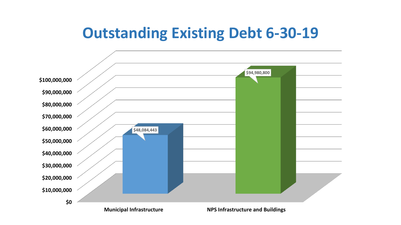#### **Outstanding Existing Debt 6-30-19**